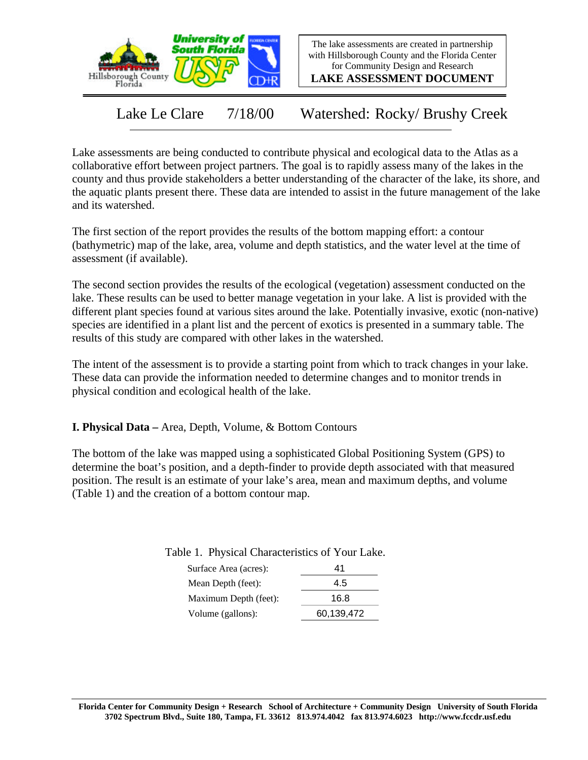

The lake assessments are created in partnership with Hillsborough County and the Florida Center for Community Design and Research

**LAKE ASSESSMENT DOCUMENT**

Lake Le Clare 7/18/00 Watershed: Rocky/ Brushy Creek

Lake assessments are being conducted to contribute physical and ecological data to the Atlas as a collaborative effort between project partners. The goal is to rapidly assess many of the lakes in the county and thus provide stakeholders a better understanding of the character of the lake, its shore, and the aquatic plants present there. These data are intended to assist in the future management of the lake and its watershed.

The first section of the report provides the results of the bottom mapping effort: a contour (bathymetric) map of the lake, area, volume and depth statistics, and the water level at the time of assessment (if available).

The second section provides the results of the ecological (vegetation) assessment conducted on the lake. These results can be used to better manage vegetation in your lake. A list is provided with the different plant species found at various sites around the lake. Potentially invasive, exotic (non-native) species are identified in a plant list and the percent of exotics is presented in a summary table. The results of this study are compared with other lakes in the watershed.

The intent of the assessment is to provide a starting point from which to track changes in your lake. These data can provide the information needed to determine changes and to monitor trends in physical condition and ecological health of the lake.

**I. Physical Data –** Area, Depth, Volume, & Bottom Contours

The bottom of the lake was mapped using a sophisticated Global Positioning System (GPS) to determine the boat's position, and a depth-finder to provide depth associated with that measured position. The result is an estimate of your lake's area, mean and maximum depths, and volume (Table 1) and the creation of a bottom contour map.

| ------------------    |            |
|-----------------------|------------|
| Surface Area (acres): | 41         |
| Mean Depth (feet):    | 4.5        |
| Maximum Depth (feet): | 16.8       |
| Volume (gallons):     | 60,139,472 |

Table 1. Physical Characteristics of Your Lake.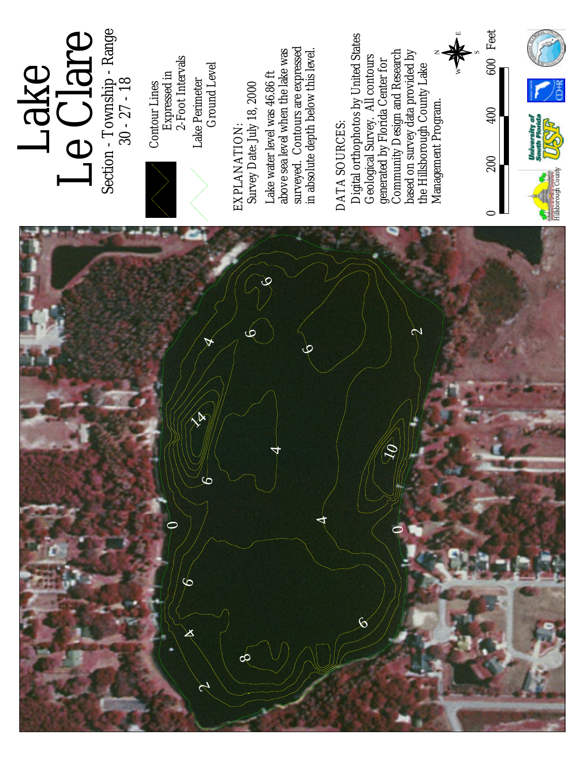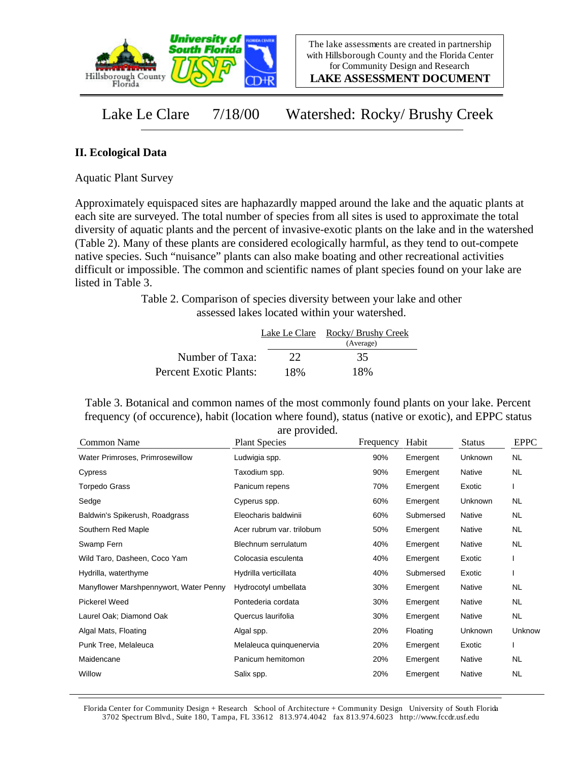

**LAKE ASSESSMENT DOCUMENT**

Lake Le Clare 7/18/00 Watershed: Rocky/ Brushy Creek

## **II. Ecological Data**

Aquatic Plant Survey

Approximately equispaced sites are haphazardly mapped around the lake and the aquatic plants at each site are surveyed. The total number of species from all sites is used to approximate the total diversity of aquatic plants and the percent of invasive-exotic plants on the lake and in the watershed (Table 2). Many of these plants are considered ecologically harmful, as they tend to out-compete native species. Such "nuisance" plants can also make boating and other recreational activities difficult or impossible. The common and scientific names of plant species found on your lake are listed in Table 3.

> Table 2. Comparison of species diversity between your lake and other assessed lakes located within your watershed.

|                        | Lake Le Clare | Rocky/ Brushy Creek<br>(Average) |
|------------------------|---------------|----------------------------------|
| Number of Taxa:        | 22            | 35                               |
| Percent Exotic Plants: | 18%           | 18%                              |

Table 3. Botanical and common names of the most commonly found plants on your lake. Percent frequency (of occurence), habit (location where found), status (native or exotic), and EPPC status are provided.

| Common Name                            | <b>Plant Species</b>      | Frequency | Habit     | <b>Status</b> | <b>EPPC</b> |
|----------------------------------------|---------------------------|-----------|-----------|---------------|-------------|
| Water Primroses, Primrosewillow        | Ludwigia spp.             | 90%       | Emergent  | Unknown       | <b>NL</b>   |
| Cypress                                | Taxodium spp.             | 90%       | Emergent  | Native        | NL          |
| Torpedo Grass                          | Panicum repens            | 70%       | Emergent  | Exotic        |             |
| Sedge                                  | Cyperus spp.              | 60%       | Emergent  | Unknown       | NL.         |
| Baldwin's Spikerush, Roadgrass         | Eleocharis baldwinii      | 60%       | Submersed | Native        | NL.         |
| Southern Red Maple                     | Acer rubrum var. trilobum | 50%       | Emergent  | Native        | NL          |
| Swamp Fern                             | Blechnum serrulatum       | 40%       | Emergent  | Native        | <b>NL</b>   |
| Wild Taro, Dasheen, Coco Yam           | Colocasia esculenta       | 40%       | Emergent  | Exotic        |             |
| Hydrilla, waterthyme                   | Hydrilla verticillata     | 40%       | Submersed | Exotic        |             |
| Manyflower Marshpennywort, Water Penny | Hydrocotyl umbellata      | 30%       | Emergent  | Native        | NL          |
| <b>Pickerel Weed</b>                   | Pontederia cordata        | 30%       | Emergent  | Native        | NL.         |
| Laurel Oak; Diamond Oak                | Quercus laurifolia        | 30%       | Emergent  | Native        | NL.         |
| Algal Mats, Floating                   | Algal spp.                | 20%       | Floating  | Unknown       | Unknow      |
| Punk Tree, Melaleuca                   | Melaleuca quinquenervia   | 20%       | Emergent  | Exotic        |             |
| Maidencane                             | Panicum hemitomon         | 20%       | Emergent  | Native        | NL          |
| Willow                                 | Salix spp.                | 20%       | Emergent  | Native        | <b>NL</b>   |

Florida Center for Community Design + Research School of Architecture + Community Design University of South Florida 3702 Spectrum Blvd., Suite 180, Tampa, FL 33612 813.974.4042 fax 813.974.6023 http://www.fccdr.usf.edu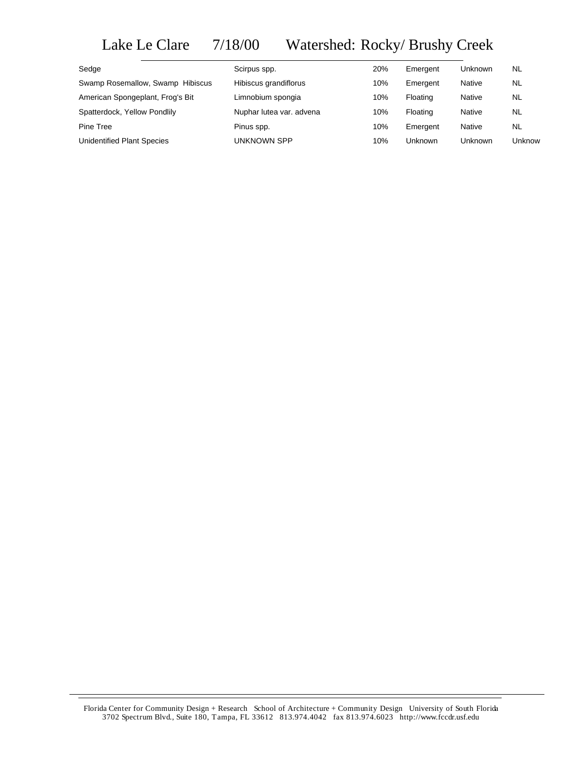## Lake Le Clare 7/18/00 Watershed: Rocky/ Brushy Creek

| Sedge                             | Scirpus spp.             | 20% | Emergent | <b>Unknown</b> | NL        |
|-----------------------------------|--------------------------|-----|----------|----------------|-----------|
| Swamp Rosemallow, Swamp Hibiscus  | Hibiscus grandiflorus    | 10% | Emergent | Native         | NL        |
| American Spongeplant, Frog's Bit  | Limnobium spongia        | 10% | Floating | Native         | NL        |
| Spatterdock, Yellow Pondlily      | Nuphar lutea var. advena | 10% | Floating | Native         | <b>NL</b> |
| Pine Tree                         | Pinus spp.               | 10% | Emergent | Native         | NL        |
| <b>Unidentified Plant Species</b> | UNKNOWN SPP              | 10% | Unknown  | Unknown        | Unknow    |

Florida Center for Community Design + Research School of Architecture + Community Design University of South Florida 3702 Spectrum Blvd., Suite 180, Tampa, FL 33612 813.974.4042 fax 813.974.6023 http://www.fccdr.usf.edu